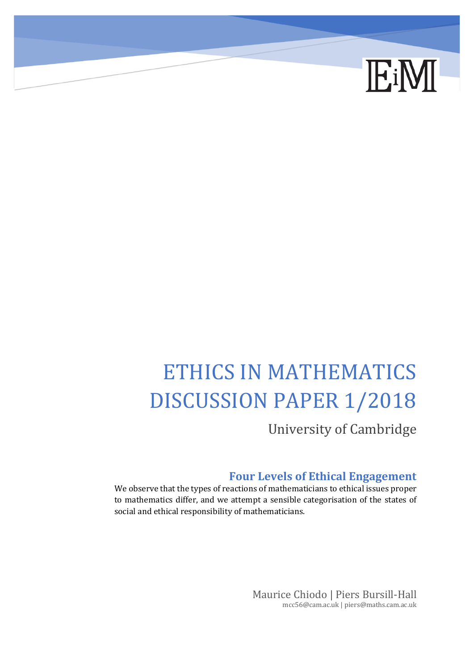

# ETHICS IN MATHEMATICS DISCUSSION PAPER 1/2018

University of Cambridge

#### **Four Levels of Ethical Engagement**

We observe that the types of reactions of mathematicians to ethical issues proper to mathematics differ, and we attempt a sensible categorisation of the states of social and ethical responsibility of mathematicians.

> Maurice Chiodo | Piers Bursill-Hall mcc56@cam.ac.uk | piers@maths.cam.ac.uk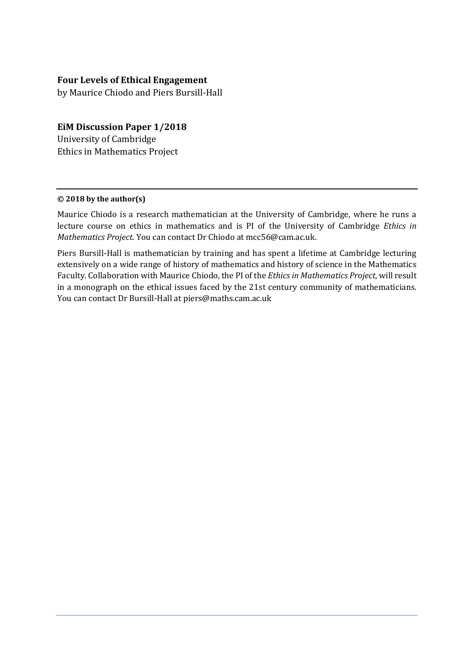#### **Four Levels of Ethical Engagement**

by Maurice Chiodo and Piers Bursill-Hall

#### **EiM Discussion Paper 1/2018**

University of Cambridge Ethics in Mathematics Project

#### **© 2018 by the author(s)**

Maurice Chiodo is a research mathematician at the University of Cambridge, where he runs a lecture course on ethics in mathematics and is PI of the University of Cambridge *Ethics in Mathematics Project*. You can contact Dr Chiodo at mcc56@cam.ac.uk.

Piers Bursill-Hall is mathematician by training and has spent a lifetime at Cambridge lecturing extensively on a wide range of history of mathematics and history of science in the Mathematics Faculty. Collaboration with Maurice Chiodo, the PI of the *Ethics in Mathematics Project*, will result in a monograph on the ethical issues faced by the 21st century community of mathematicians. You can contact Dr Bursill-Hall at piers@maths.cam.ac.uk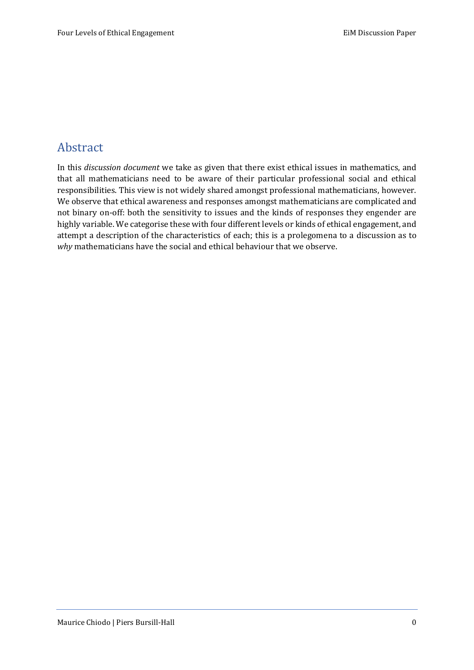## Abstract

In this *discussion document* we take as given that there exist ethical issues in mathematics, and that all mathematicians need to be aware of their particular professional social and ethical responsibilities. This view is not widely shared amongst professional mathematicians, however. We observe that ethical awareness and responses amongst mathematicians are complicated and not binary on-off: both the sensitivity to issues and the kinds of responses they engender are highly variable. We categorise these with four different levels or kinds of ethical engagement, and attempt a description of the characteristics of each; this is a prolegomena to a discussion as to *why* mathematicians have the social and ethical behaviour that we observe.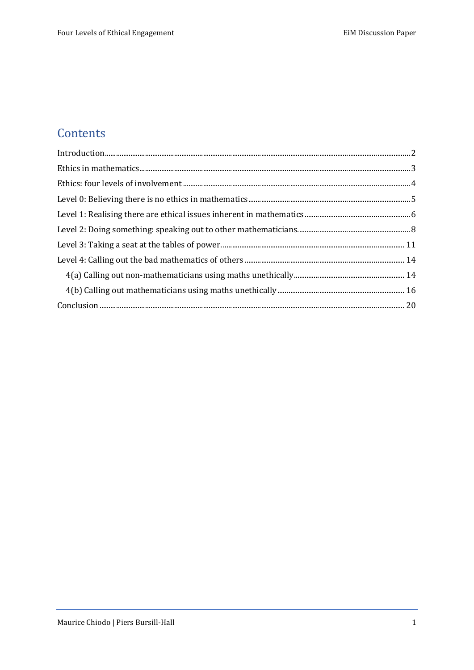# **Contents**

| Introduction 2 |  |
|----------------|--|
|                |  |
|                |  |
|                |  |
|                |  |
|                |  |
|                |  |
|                |  |
|                |  |
|                |  |
|                |  |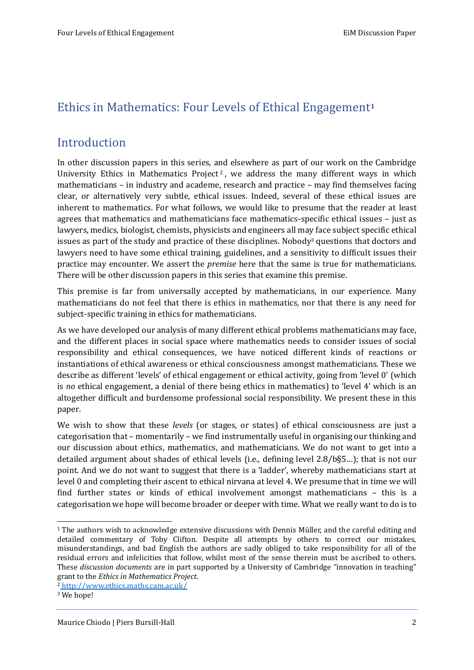## Ethics in Mathematics: Four Levels of Ethical Engagement**<sup>1</sup>**

#### <span id="page-4-0"></span>Introduction

In other discussion papers in this series, and elsewhere as part of our work on the Cambridge University Ethics in Mathematics Project<sup>2</sup>, we address the many different ways in which mathematicians – in industry and academe, research and practice – may find themselves facing clear, or alternatively very subtle, ethical issues. Indeed, several of these ethical issues are inherent to mathematics. For what follows, we would like to presume that the reader at least agrees that mathematics and mathematicians face mathematics-specific ethical issues – just as lawyers, medics, biologist, chemists, physicists and engineers all may face subject specific ethical issues as part of the study and practice of these disciplines. Nobody<sup>3</sup> questions that doctors and lawyers need to have some ethical training, guidelines, and a sensitivity to difficult issues their practice may encounter. We assert the *premise* here that the same is true for mathematicians. There will be other discussion papers in this series that examine this premise.

This premise is far from universally accepted by mathematicians, in our experience. Many mathematicians do not feel that there is ethics in mathematics, nor that there is any need for subject-specific training in ethics for mathematicians.

As we have developed our analysis of many different ethical problems mathematicians may face, and the different places in social space where mathematics needs to consider issues of social responsibility and ethical consequences, we have noticed different kinds of reactions or instantiations of ethical awareness or ethical consciousness amongst mathematicians. These we describe as different 'levels' of ethical engagement or ethical activity, going from 'level 0' (which is *no* ethical engagement, a denial of there being ethics in mathematics) to 'level 4' which is an altogether difficult and burdensome professional social responsibility. We present these in this paper.

We wish to show that these *levels* (or stages, or states) of ethical consciousness are just a categorisation that – momentarily – we find instrumentally useful in organising our thinking and our discussion about ethics, mathematics, and mathematicians. We do not want to get into a detailed argument about shades of ethical levels (i.e., defining level 2.8/b§5…); that is not our point. And we do not want to suggest that there is a 'ladder', whereby mathematicians start at level 0 and completing their ascent to ethical nirvana at level 4. We presume that in time we will find further states or kinds of ethical involvement amongst mathematicians – this is a categorisation we hope will become broader or deeper with time. What we really want to do is to

 $1$  The authors wish to acknowledge extensive discussions with Dennis Müller, and the careful editing and detailed commentary of Toby Clifton. Despite all attempts by others to correct our mistakes, misunderstandings, and bad English the authors are sadly obliged to take responsibility for all of the residual errors and infelicities that follow, whilst most of the sense therein must be ascribed to others. These *discussion documents* are in part supported by a University of Cambridge "innovation in teaching" grant to the *Ethics in Mathematics Project*.

<sup>2</sup> [http://www.ethics.maths.cam.ac.uk/](file:///C:/Users/demue/AppData/Local/Temp/%20http:/www.ethics.maths.cam.ac.uk/)

<sup>&</sup>lt;sup>3</sup> We hope!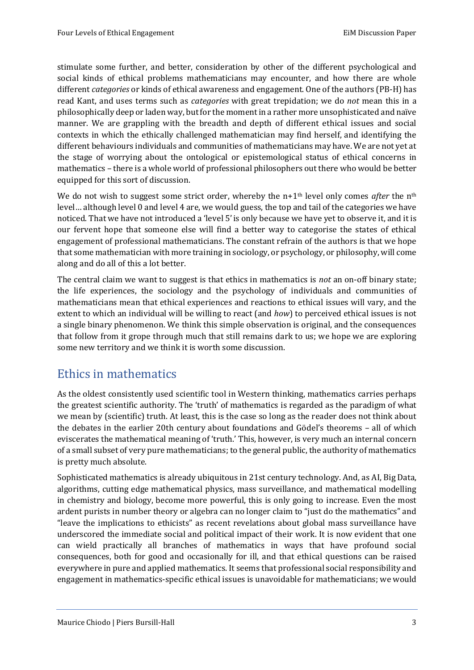stimulate some further, and better, consideration by other of the different psychological and social kinds of ethical problems mathematicians may encounter, and how there are whole different *categories* or kinds of ethical awareness and engagement. One of the authors (PB-H) has read Kant, and uses terms such as *categories* with great trepidation; we do *not* mean this in a philosophically deep or laden way, but for the moment in a rather more unsophisticated and naïve manner. We are grappling with the breadth and depth of different ethical issues and social contexts in which the ethically challenged mathematician may find herself, and identifying the different behaviours individuals and communities of mathematicians may have. We are not yet at the stage of worrying about the ontological or epistemological status of ethical concerns in mathematics – there is a whole world of professional philosophers out there who would be better equipped for this sort of discussion.

We do not wish to suggest some strict order, whereby the n+1<sup>th</sup> level only comes *after* the n<sup>th</sup> level… although level 0 and level 4 are, we would guess, the top and tail of the categories we have noticed. That we have not introduced a 'level 5'is only because we have yet to observe it, and it is our fervent hope that someone else will find a better way to categorise the states of ethical engagement of professional mathematicians. The constant refrain of the authors is that we hope that some mathematician with more training in sociology, or psychology, or philosophy, will come along and do all of this a lot better.

The central claim we want to suggest is that ethics in mathematics is *not* an on-off binary state; the life experiences, the sociology and the psychology of individuals and communities of mathematicians mean that ethical experiences and reactions to ethical issues will vary, and the extent to which an individual will be willing to react (and *how*) to perceived ethical issues is not a single binary phenomenon. We think this simple observation is original, and the consequences that follow from it grope through much that still remains dark to us; we hope we are exploring some new territory and we think it is worth some discussion.

## <span id="page-5-0"></span>Ethics in mathematics

As the oldest consistently used scientific tool in Western thinking, mathematics carries perhaps the greatest scientific authority. The 'truth' of mathematics is regarded as the paradigm of what we mean by (scientific) truth. At least, this is the case so long as the reader does not think about the debates in the earlier 20th century about foundations and Gödel's theorems – all of which eviscerates the mathematical meaning of 'truth.' This, however, is very much an internal concern of a small subset of very pure mathematicians; to the general public, the authority of mathematics is pretty much absolute.

Sophisticated mathematics is already ubiquitous in 21st century technology. And, as AI, Big Data, algorithms, cutting edge mathematical physics, mass surveillance, and mathematical modelling in chemistry and biology, become more powerful, this is only going to increase. Even the most ardent purists in number theory or algebra can no longer claim to "just do the mathematics" and "leave the implications to ethicists" as recent revelations about global mass surveillance have underscored the immediate social and political impact of their work. It is now evident that one can wield practically all branches of mathematics in ways that have profound social consequences, both for good and occasionally for ill, and that ethical questions can be raised everywhere in pure and applied mathematics. It seems that professional social responsibility and engagement in mathematics-specific ethical issues is unavoidable for mathematicians; we would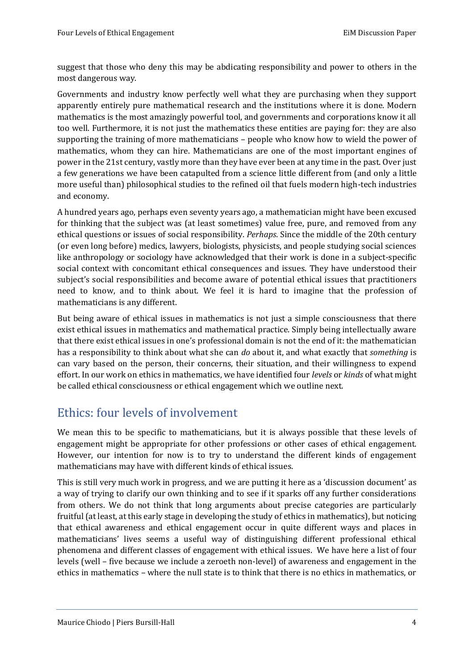suggest that those who deny this may be abdicating responsibility and power to others in the most dangerous way.

Governments and industry know perfectly well what they are purchasing when they support apparently entirely pure mathematical research and the institutions where it is done. Modern mathematics is the most amazingly powerful tool, and governments and corporations know it all too well. Furthermore, it is not just the mathematics these entities are paying for: they are also supporting the training of more mathematicians – people who know how to wield the power of mathematics, whom they can hire. Mathematicians are one of the most important engines of power in the 21st century, vastly more than they have ever been at any time in the past. Over just a few generations we have been catapulted from a science little different from (and only a little more useful than) philosophical studies to the refined oil that fuels modern high-tech industries and economy.

A hundred years ago, perhaps even seventy years ago, a mathematician might have been excused for thinking that the subject was (at least sometimes) value free, pure, and removed from any ethical questions or issues of social responsibility. *Perhaps*. Since the middle of the 20th century (or even long before) medics, lawyers, biologists, physicists, and people studying social sciences like anthropology or sociology have acknowledged that their work is done in a subject-specific social context with concomitant ethical consequences and issues. They have understood their subject's social responsibilities and become aware of potential ethical issues that practitioners need to know, and to think about. We feel it is hard to imagine that the profession of mathematicians is any different.

But being aware of ethical issues in mathematics is not just a simple consciousness that there exist ethical issues in mathematics and mathematical practice. Simply being intellectually aware that there exist ethical issues in one's professional domain is not the end of it: the mathematician has a responsibility to think about what she can *do* about it, and what exactly that *something* is can vary based on the person, their concerns, their situation, and their willingness to expend effort. In our work on ethics in mathematics, we have identified four *levels* or *kinds* of what might be called ethical consciousness or ethical engagement which we outline next.

## <span id="page-6-0"></span>Ethics: four levels of involvement

We mean this to be specific to mathematicians, but it is always possible that these levels of engagement might be appropriate for other professions or other cases of ethical engagement. However, our intention for now is to try to understand the different kinds of engagement mathematicians may have with different kinds of ethical issues.

This is still very much work in progress, and we are putting it here as a 'discussion document' as a way of trying to clarify our own thinking and to see if it sparks off any further considerations from others. We do not think that long arguments about precise categories are particularly fruitful (at least, at this early stage in developing the study of ethics in mathematics), but noticing that ethical awareness and ethical engagement occur in quite different ways and places in mathematicians' lives seems a useful way of distinguishing different professional ethical phenomena and different classes of engagement with ethical issues. We have here a list of four levels (well – five because we include a zeroeth non-level) of awareness and engagement in the ethics in mathematics – where the null state is to think that there is no ethics in mathematics, or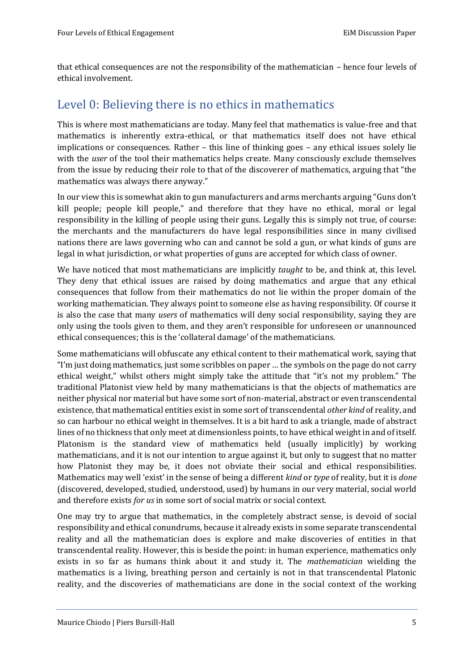that ethical consequences are not the responsibility of the mathematician – hence four levels of ethical involvement.

## <span id="page-7-0"></span>Level 0: Believing there is no ethics in mathematics

This is where most mathematicians are today. Many feel that mathematics is value-free and that mathematics is inherently extra-ethical, or that mathematics itself does not have ethical implications or consequences. Rather – this line of thinking goes – any ethical issues solely lie with the *user* of the tool their mathematics helps create. Many consciously exclude themselves from the issue by reducing their role to that of the discoverer of mathematics, arguing that "the mathematics was always there anyway."

In our view this is somewhat akin to gun manufacturers and arms merchants arguing "Guns don't kill people; people kill people," and therefore that they have no ethical, moral or legal responsibility in the killing of people using their guns. Legally this is simply not true, of course: the merchants and the manufacturers do have legal responsibilities since in many civilised nations there are laws governing who can and cannot be sold a gun, or what kinds of guns are legal in what jurisdiction, or what properties of guns are accepted for which class of owner.

We have noticed that most mathematicians are implicitly *taught* to be, and think at, this level. They deny that ethical issues are raised by doing mathematics and argue that any ethical consequences that follow from their mathematics do not lie within the proper domain of the working mathematician. They always point to someone else as having responsibility. Of course it is also the case that many *users* of mathematics will deny social responsibility, saying they are only using the tools given to them, and they aren't responsible for unforeseen or unannounced ethical consequences; this is the 'collateral damage' of the mathematicians.

Some mathematicians will obfuscate any ethical content to their mathematical work, saying that "I'm just doing mathematics, just some scribbles on paper … the symbols on the page do not carry ethical weight," whilst others might simply take the attitude that "it's not my problem." The traditional Platonist view held by many mathematicians is that the objects of mathematics are neither physical nor material but have some sort of non-material, abstract or even transcendental existence, that mathematical entities exist in some sort of transcendental *other kind* of reality, and so can harbour no ethical weight in themselves. It is a bit hard to ask a triangle, made of abstract lines of no thickness that only meet at dimensionless points, to have ethical weight in and of itself. Platonism is the standard view of mathematics held (usually implicitly) by working mathematicians, and it is not our intention to argue against it, but only to suggest that no matter how Platonist they may be, it does not obviate their social and ethical responsibilities. Mathematics may well 'exist' in the sense of being a different *kind* or *type* of reality, but it is *done* (discovered, developed, studied, understood, used) by humans in our very material, social world and therefore exists *for us* in some sort of social matrix or social context.

One may try to argue that mathematics, in the completely abstract sense, is devoid of social responsibility and ethical conundrums, because it already exists in some separate transcendental reality and all the mathematician does is explore and make discoveries of entities in that transcendental reality. However, this is beside the point: in human experience, mathematics only exists in so far as humans think about it and study it. The *mathematician* wielding the mathematics is a living, breathing person and certainly is not in that transcendental Platonic reality, and the discoveries of mathematicians are done in the social context of the working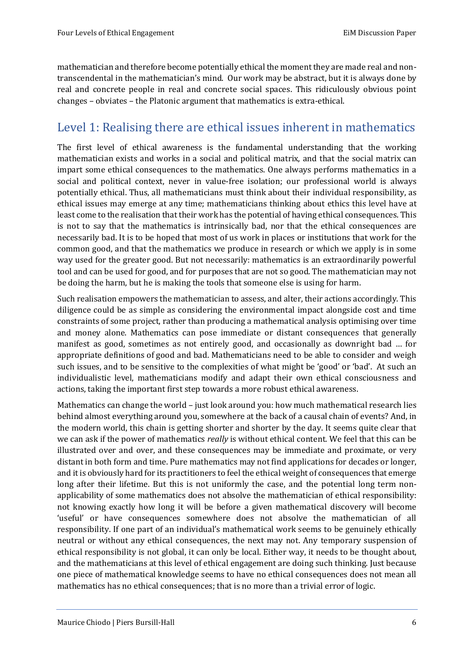mathematician and therefore become potentially ethical the moment they are made real and nontranscendental in the mathematician's mind. Our work may be abstract, but it is always done by real and concrete people in real and concrete social spaces. This ridiculously obvious point changes – obviates – the Platonic argument that mathematics is extra-ethical.

## <span id="page-8-0"></span>Level 1: Realising there are ethical issues inherent in mathematics

The first level of ethical awareness is the fundamental understanding that the working mathematician exists and works in a social and political matrix, and that the social matrix can impart some ethical consequences to the mathematics. One always performs mathematics in a social and political context, never in value-free isolation; our professional world is always potentially ethical. Thus, all mathematicians must think about their individual responsibility, as ethical issues may emerge at any time; mathematicians thinking about ethics this level have at least come to the realisation that their work has the potential of having ethical consequences. This is not to say that the mathematics is intrinsically bad, nor that the ethical consequences are necessarily bad. It is to be hoped that most of us work in places or institutions that work for the common good, and that the mathematics we produce in research or which we apply is in some way used for the greater good. But not necessarily: mathematics is an extraordinarily powerful tool and can be used for good, and for purposes that are not so good. The mathematician may not be doing the harm, but he is making the tools that someone else is using for harm.

Such realisation empowers the mathematician to assess, and alter, their actions accordingly. This diligence could be as simple as considering the environmental impact alongside cost and time constraints of some project, rather than producing a mathematical analysis optimising over time and money alone. Mathematics can pose immediate or distant consequences that generally manifest as good, sometimes as not entirely good, and occasionally as downright bad … for appropriate definitions of good and bad. Mathematicians need to be able to consider and weigh such issues, and to be sensitive to the complexities of what might be 'good' or 'bad'. At such an individualistic level, mathematicians modify and adapt their own ethical consciousness and actions, taking the important first step towards a more robust ethical awareness.

Mathematics can change the world – just look around you: how much mathematical research lies behind almost everything around you, somewhere at the back of a causal chain of events? And, in the modern world, this chain is getting shorter and shorter by the day. It seems quite clear that we can ask if the power of mathematics *really* is without ethical content. We feel that this can be illustrated over and over, and these consequences may be immediate and proximate, or very distant in both form and time. Pure mathematics may not find applications for decades or longer, and it is obviously hard for its practitioners to feel the ethical weight of consequences that emerge long after their lifetime. But this is not uniformly the case, and the potential long term nonapplicability of some mathematics does not absolve the mathematician of ethical responsibility: not knowing exactly how long it will be before a given mathematical discovery will become 'useful' or have consequences somewhere does not absolve the mathematician of all responsibility. If one part of an individual's mathematical work seems to be genuinely ethically neutral or without any ethical consequences, the next may not. Any temporary suspension of ethical responsibility is not global, it can only be local. Either way, it needs to be thought about, and the mathematicians at this level of ethical engagement are doing such thinking. Just because one piece of mathematical knowledge seems to have no ethical consequences does not mean all mathematics has no ethical consequences; that is no more than a trivial error of logic.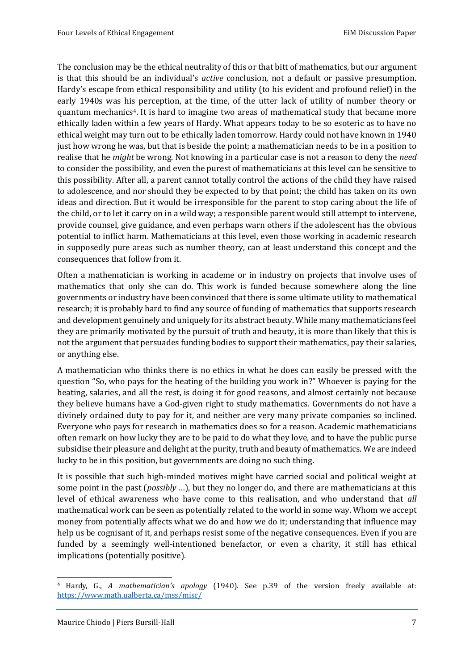The conclusion may be the ethical neutrality of this or that bitt of mathematics, but our argument is that this should be an individual's *active* conclusion, not a default or passive presumption. Hardy's escape from ethical responsibility and utility (to his evident and profound relief) in the early 1940s was his perception, at the time, of the utter lack of utility of number theory or quantum mechanics4. It is hard to imagine two areas of mathematical study that became more ethically laden within a few years of Hardy. What appears today to be so esoteric as to have no ethical weight may turn out to be ethically laden tomorrow. Hardy could not have known in 1940 just how wrong he was, but that is beside the point; a mathematician needs to be in a position to realise that he *might* be wrong. Not knowing in a particular case is not a reason to deny the *need* to consider the possibility, and even the purest of mathematicians at this level can be sensitive to this possibility. After all, a parent cannot totally control the actions of the child they have raised to adolescence, and nor should they be expected to by that point; the child has taken on its own ideas and direction. But it would be irresponsible for the parent to stop caring about the life of the child, or to let it carry on in a wild way; a responsible parent would still attempt to intervene, provide counsel, give guidance, and even perhaps warn others if the adolescent has the obvious potential to inflict harm. Mathematicians at this level, even those working in academic research in supposedly pure areas such as number theory, can at least understand this concept and the consequences that follow from it.

Often a mathematician is working in academe or in industry on projects that involve uses of mathematics that only she can do. This work is funded because somewhere along the line governments or industry have been convinced that there is some ultimate utility to mathematical research; it is probably hard to find any source of funding of mathematics that supports research and development genuinely and uniquely for its abstract beauty. While many mathematicians feel they are primarily motivated by the pursuit of truth and beauty, it is more than likely that this is not the argument that persuades funding bodies to support their mathematics, pay their salaries, or anything else.

A mathematician who thinks there is no ethics in what he does can easily be pressed with the question "So, who pays for the heating of the building you work in?" Whoever is paying for the heating, salaries, and all the rest, is doing it for good reasons, and almost certainly not because they believe humans have a God-given right to study mathematics. Governments do not have a divinely ordained duty to pay for it, and neither are very many private companies so inclined. Everyone who pays for research in mathematics does so for a reason. Academic mathematicians often remark on how lucky they are to be paid to do what they love, and to have the public purse subsidise their pleasure and delight at the purity, truth and beauty of mathematics. We are indeed lucky to be in this position, but governments are doing no such thing.

It is possible that such high-minded motives might have carried social and political weight at some point in the past (*possibly* …), but they no longer do, and there are mathematicians at this level of ethical awareness who have come to this realisation, and who understand that *all*  mathematical work can be seen as potentially related to the world in some way. Whom we accept money from potentially affects what we do and how we do it; understanding that influence may help us be cognisant of it, and perhaps resist some of the negative consequences. Even if you are funded by a seemingly well-intentioned benefactor, or even a charity, it still has ethical implications (potentially positive).

<sup>4</sup> Hardy, G., *A mathematician's apology* (1940). See p.39 of the version freely available at: <https://www.math.ualberta.ca/mss/misc/>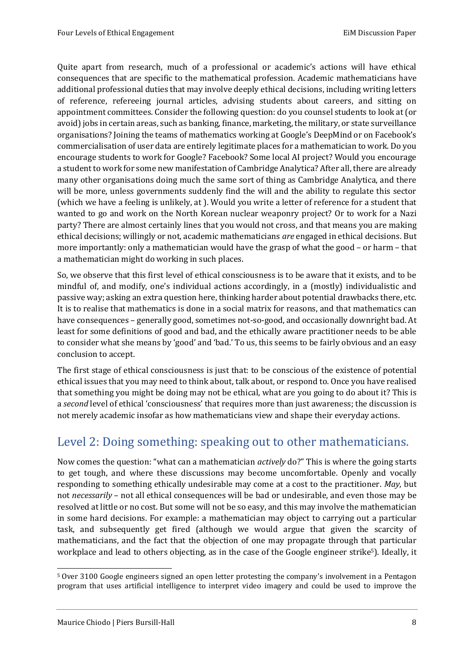Quite apart from research, much of a professional or academic's actions will have ethical consequences that are specific to the mathematical profession. Academic mathematicians have additional professional duties that may involve deeply ethical decisions, including writing letters of reference, refereeing journal articles, advising students about careers, and sitting on appointment committees. Consider the following question: do you counsel students to look at (or avoid) jobs in certain areas, such as banking, finance, marketing, the military, or state surveillance organisations? Joining the teams of mathematics working at Google's DeepMind or on Facebook's commercialisation of user data are entirely legitimate places for a mathematician to work. Do you encourage students to work for Google? Facebook? Some local AI project? Would you encourage a student to work for some new manifestation of Cambridge Analytica? After all, there are already many other organisations doing much the same sort of thing as Cambridge Analytica, and there will be more, unless governments suddenly find the will and the ability to regulate this sector (which we have a feeling is unlikely, at ). Would you write a letter of reference for a student that wanted to go and work on the North Korean nuclear weaponry project? Or to work for a Nazi party? There are almost certainly lines that you would not cross, and that means you are making ethical decisions; willingly or not, academic mathematicians *are* engaged in ethical decisions. But more importantly: only a mathematician would have the grasp of what the good – or harm – that a mathematician might do working in such places.

So, we observe that this first level of ethical consciousness is to be aware that it exists, and to be mindful of, and modify, one's individual actions accordingly, in a (mostly) individualistic and passive way; asking an extra question here, thinking harder about potential drawbacks there, etc. It is to realise that mathematics is done in a social matrix for reasons, and that mathematics can have consequences – generally good, sometimes not-so-good, and occasionally downright bad. At least for some definitions of good and bad, and the ethically aware practitioner needs to be able to consider what she means by 'good' and 'bad.' To us, this seems to be fairly obvious and an easy conclusion to accept.

The first stage of ethical consciousness is just that: to be conscious of the existence of potential ethical issues that you may need to think about, talk about, or respond to. Once you have realised that something you might be doing may not be ethical, what are you going to do about it? This is a *second* level of ethical 'consciousness' that requires more than just awareness; the discussion is not merely academic insofar as how mathematicians view and shape their everyday actions.

## <span id="page-10-0"></span>Level 2: Doing something: speaking out to other mathematicians.

Now comes the question: "what can a mathematician *actively* do?" This is where the going starts to get tough, and where these discussions may become uncomfortable. Openly and vocally responding to something ethically undesirable may come at a cost to the practitioner. *May*, but not *necessarily* – not all ethical consequences will be bad or undesirable, and even those may be resolved at little or no cost. But some will not be so easy, and this may involve the mathematician in some hard decisions. For example: a mathematician may object to carrying out a particular task, and subsequently get fired (although we would argue that given the scarcity of mathematicians, and the fact that the objection of one may propagate through that particular workplace and lead to others objecting, as in the case of the Google engineer strike<sup>5</sup>). Ideally, it

<sup>1</sup> <sup>5</sup> Over 3100 Google engineers signed an open letter protesting the company's involvement in a Pentagon program that uses artificial intelligence to interpret video imagery and could be used to improve the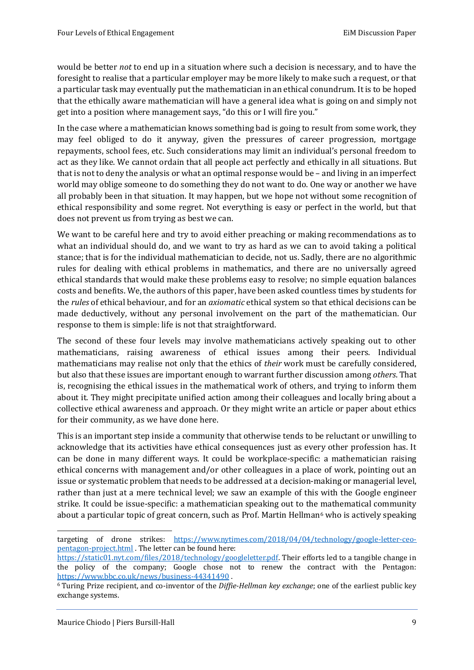would be better *not* to end up in a situation where such a decision is necessary, and to have the foresight to realise that a particular employer may be more likely to make such a request, or that a particular task may eventually put the mathematician in an ethical conundrum. It is to be hoped that the ethically aware mathematician will have a general idea what is going on and simply not get into a position where management says, "do this or I will fire you."

In the case where a mathematician knows something bad is going to result from some work, they may feel obliged to do it anyway, given the pressures of career progression, mortgage repayments, school fees, etc. Such considerations may limit an individual's personal freedom to act as they like. We cannot ordain that all people act perfectly and ethically in all situations. But that is not to deny the analysis or what an optimal response would be – and living in an imperfect world may oblige someone to do something they do not want to do. One way or another we have all probably been in that situation. It may happen, but we hope not without some recognition of ethical responsibility and some regret. Not everything is easy or perfect in the world, but that does not prevent us from trying as best we can.

We want to be careful here and try to avoid either preaching or making recommendations as to what an individual should do, and we want to try as hard as we can to avoid taking a political stance; that is for the individual mathematician to decide, not us. Sadly, there are no algorithmic rules for dealing with ethical problems in mathematics, and there are no universally agreed ethical standards that would make these problems easy to resolve; no simple equation balances costs and benefits. We, the authors of this paper, have been asked countless times by students for the *rules* of ethical behaviour, and for an *axiomatic* ethical system so that ethical decisions can be made deductively, without any personal involvement on the part of the mathematician. Our response to them is simple: life is not that straightforward.

The second of these four levels may involve mathematicians actively speaking out to other mathematicians, raising awareness of ethical issues among their peers. Individual mathematicians may realise not only that the ethics of *their* work must be carefully considered, but also that these issues are important enough to warrant further discussion among *others*. That is, recognising the ethical issues in the mathematical work of others, and trying to inform them about it. They might precipitate unified action among their colleagues and locally bring about a collective ethical awareness and approach. Or they might write an article or paper about ethics for their community, as we have done here.

This is an important step inside a community that otherwise tends to be reluctant or unwilling to acknowledge that its activities have ethical consequences just as every other profession has. It can be done in many different ways. It could be workplace-specific: a mathematician raising ethical concerns with management and/or other colleagues in a place of work, pointing out an issue or systematic problem that needs to be addressed at a decision-making or managerial level, rather than just at a mere technical level; we saw an example of this with the Google engineer strike. It could be issue-specific: a mathematician speaking out to the mathematical community about a particular topic of great concern, such as Prof. Martin Hellman $6$  who is actively speaking

targeting of drone strikes: [https://www.nytimes.com/2018/04/04/technology/google-letter-ceo](https://www.nytimes.com/2018/04/04/technology/google-letter-ceo-pentagon-project.html)[pentagon-project.html](https://www.nytimes.com/2018/04/04/technology/google-letter-ceo-pentagon-project.html) . The letter can be found here:

[https://static01.nyt.com/files/2018/technology/googleletter.pdf.](https://static01.nyt.com/files/2018/technology/googleletter.pdf) Their efforts led to a tangible change in the policy of the company; Google chose not to renew the contract with the Pentagon: <https://www.bbc.co.uk/news/business-44341490> .

<sup>6</sup> Turing Prize recipient, and co-inventor of the *Diffie-Hellman key exchange*; one of the earliest public key exchange systems.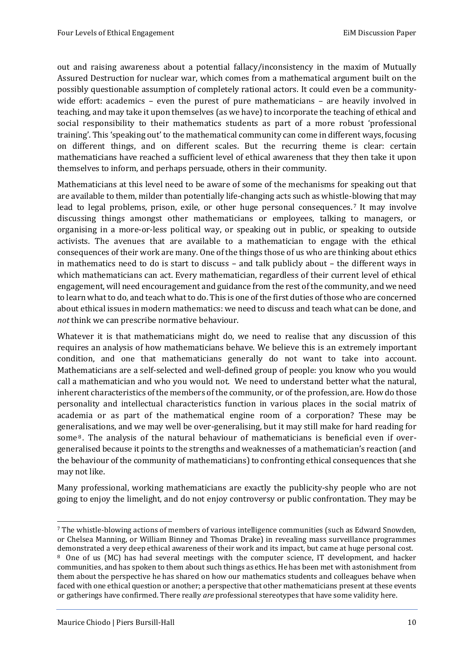out and raising awareness about a potential fallacy/inconsistency in the maxim of Mutually Assured Destruction for nuclear war, which comes from a mathematical argument built on the possibly questionable assumption of completely rational actors. It could even be a communitywide effort: academics – even the purest of pure mathematicians – are heavily involved in teaching, and may take it upon themselves (as we have) to incorporate the teaching of ethical and social responsibility to their mathematics students as part of a more robust 'professional training'. This 'speaking out' to the mathematical community can come in different ways, focusing on different things, and on different scales. But the recurring theme is clear: certain mathematicians have reached a sufficient level of ethical awareness that they then take it upon themselves to inform, and perhaps persuade, others in their community.

Mathematicians at this level need to be aware of some of the mechanisms for speaking out that are available to them, milder than potentially life-changing acts such as whistle-blowing that may lead to legal problems, prison, exile, or other huge personal consequences.<sup>7</sup> It may involve discussing things amongst other mathematicians or employees, talking to managers, or organising in a more-or-less political way, or speaking out in public, or speaking to outside activists. The avenues that are available to a mathematician to engage with the ethical consequences of their work are many. One of the things those of us who are thinking about ethics in mathematics need to do is start to discuss – and talk publicly about – the different ways in which mathematicians can act. Every mathematician, regardless of their current level of ethical engagement, will need encouragement and guidance from the rest of the community, and we need to learn what to do, and teach what to do. This is one of the first duties of those who are concerned about ethical issues in modern mathematics: we need to discuss and teach what can be done, and *not* think we can prescribe normative behaviour.

Whatever it is that mathematicians might do, we need to realise that any discussion of this requires an analysis of how mathematicians behave. We believe this is an extremely important condition, and one that mathematicians generally do not want to take into account. Mathematicians are a self-selected and well-defined group of people: you know who you would call a mathematician and who you would not. We need to understand better what the natural, inherent characteristics of the members of the community, or of the profession, are. How do those personality and intellectual characteristics function in various places in the social matrix of academia or as part of the mathematical engine room of a corporation? These may be generalisations, and we may well be over-generalising, but it may still make for hard reading for some  $8$ . The analysis of the natural behaviour of mathematicians is beneficial even if overgeneralised because it points to the strengths and weaknesses of a mathematician's reaction (and the behaviour of the community of mathematicians) to confronting ethical consequences that she may not like.

Many professional, working mathematicians are exactly the publicity-shy people who are not going to enjoy the limelight, and do not enjoy controversy or public confrontation. They may be

<sup>7</sup> The whistle-blowing actions of members of various intelligence communities (such as Edward Snowden, or Chelsea Manning, or William Binney and Thomas Drake) in revealing mass surveillance programmes demonstrated a very deep ethical awareness of their work and its impact, but came at huge personal cost.

<sup>8</sup> One of us (MC) has had several meetings with the computer science, IT development, and hacker communities, and has spoken to them about such things as ethics. He has been met with astonishment from them about the perspective he has shared on how our mathematics students and colleagues behave when faced with one ethical question or another; a perspective that other mathematicians present at these events or gatherings have confirmed. There really *are* professional stereotypes that have some validity here.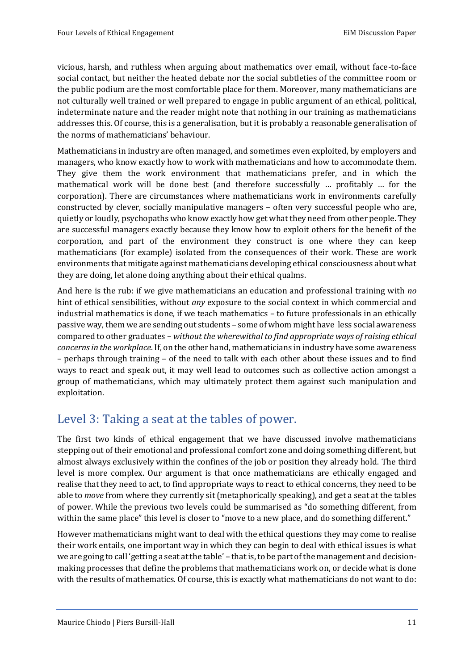vicious, harsh, and ruthless when arguing about mathematics over email, without face-to-face social contact, but neither the heated debate nor the social subtleties of the committee room or the public podium are the most comfortable place for them. Moreover, many mathematicians are not culturally well trained or well prepared to engage in public argument of an ethical, political, indeterminate nature and the reader might note that nothing in our training as mathematicians addresses this. Of course, this is a generalisation, but it is probably a reasonable generalisation of the norms of mathematicians' behaviour.

Mathematicians in industry are often managed, and sometimes even exploited, by employers and managers, who know exactly how to work with mathematicians and how to accommodate them. They give them the work environment that mathematicians prefer, and in which the mathematical work will be done best (and therefore successfully … profitably … for the corporation). There are circumstances where mathematicians work in environments carefully constructed by clever, socially manipulative managers – often very successful people who are, quietly or loudly, psychopaths who know exactly how get what they need from other people. They are successful managers exactly because they know how to exploit others for the benefit of the corporation, and part of the environment they construct is one where they can keep mathematicians (for example) isolated from the consequences of their work. These are work environments that mitigate against mathematicians developing ethical consciousness about what they are doing, let alone doing anything about their ethical qualms.

And here is the rub: if we give mathematicians an education and professional training with *no* hint of ethical sensibilities, without *any* exposure to the social context in which commercial and industrial mathematics is done, if we teach mathematics – to future professionals in an ethically passive way, them we are sending out students – some of whom might have less social awareness compared to other graduates – *without the wherewithal to find appropriate ways of raising ethical concerns in the workplace*. If, on the other hand, mathematicians in industry have some awareness – perhaps through training – of the need to talk with each other about these issues and to find ways to react and speak out, it may well lead to outcomes such as collective action amongst a group of mathematicians, which may ultimately protect them against such manipulation and exploitation.

## <span id="page-13-0"></span>Level 3: Taking a seat at the tables of power.

The first two kinds of ethical engagement that we have discussed involve mathematicians stepping out of their emotional and professional comfort zone and doing something different, but almost always exclusively within the confines of the job or position they already hold. The third level is more complex. Our argument is that once mathematicians are ethically engaged and realise that they need to act, to find appropriate ways to react to ethical concerns, they need to be able to *move* from where they currently sit (metaphorically speaking), and get a seat at the tables of power. While the previous two levels could be summarised as "do something different, from within the same place" this level is closer to "move to a new place, and do something different."

However mathematicians might want to deal with the ethical questions they may come to realise their work entails, one important way in which they can begin to deal with ethical issues is what we are going to call 'getting a seat at the table' – that is, to be part of the management and decisionmaking processes that define the problems that mathematicians work on, or decide what is done with the results of mathematics. Of course, this is exactly what mathematicians do not want to do: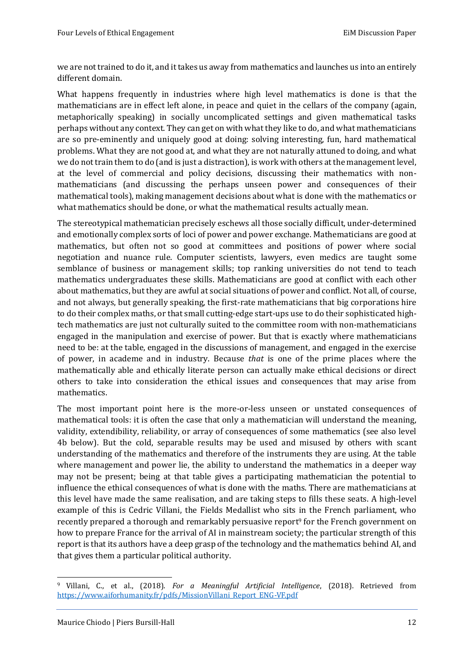we are not trained to do it, and it takes us away from mathematics and launches us into an entirely different domain.

What happens frequently in industries where high level mathematics is done is that the mathematicians are in effect left alone, in peace and quiet in the cellars of the company (again, metaphorically speaking) in socially uncomplicated settings and given mathematical tasks perhaps without any context. They can get on with what they like to do, and what mathematicians are so pre-eminently and uniquely good at doing: solving interesting, fun, hard mathematical problems. What they are not good at, and what they are not naturally attuned to doing, and what we do not train them to do (and is just a distraction), is work with others at the management level, at the level of commercial and policy decisions, discussing their mathematics with nonmathematicians (and discussing the perhaps unseen power and consequences of their mathematical tools), making management decisions about what is done with the mathematics or what mathematics should be done, or what the mathematical results actually mean.

The stereotypical mathematician precisely eschews all those socially difficult, under-determined and emotionally complex sorts of loci of power and power exchange. Mathematicians are good at mathematics, but often not so good at committees and positions of power where social negotiation and nuance rule. Computer scientists, lawyers, even medics are taught some semblance of business or management skills; top ranking universities do not tend to teach mathematics undergraduates these skills. Mathematicians are good at conflict with each other about mathematics, but they are awful at social situations of power and conflict. Not all, of course, and not always, but generally speaking, the first-rate mathematicians that big corporations hire to do their complex maths, or that small cutting-edge start-ups use to do their sophisticated hightech mathematics are just not culturally suited to the committee room with non-mathematicians engaged in the manipulation and exercise of power. But that is exactly where mathematicians need to be: at the table, engaged in the discussions of management, and engaged in the exercise of power, in academe and in industry. Because *that* is one of the prime places where the mathematically able and ethically literate person can actually make ethical decisions or direct others to take into consideration the ethical issues and consequences that may arise from mathematics.

The most important point here is the more-or-less unseen or unstated consequences of mathematical tools: it is often the case that only a mathematician will understand the meaning, validity, extendibility, reliability, or array of consequences of some mathematics (see also level 4b below). But the cold, separable results may be used and misused by others with scant understanding of the mathematics and therefore of the instruments they are using. At the table where management and power lie, the ability to understand the mathematics in a deeper way may not be present; being at that table gives a participating mathematician the potential to influence the ethical consequences of what is done with the maths. There are mathematicians at this level have made the same realisation, and are taking steps to fills these seats. A high-level example of this is Cedric Villani, the Fields Medallist who sits in the French parliament, who recently prepared a thorough and remarkably persuasive report<sup>9</sup> for the French government on how to prepare France for the arrival of AI in mainstream society; the particular strength of this report is that its authors have a deep grasp of the technology and the mathematics behind AI, and that gives them a particular political authority.

<sup>9</sup> Villani, C., et al., (2018). *For a Meaningful Artificial Intelligence*, (2018). Retrieved from [https://www.aiforhumanity.fr/pdfs/MissionVillani\\_Report\\_ENG-VF.pdf](https://www.aiforhumanity.fr/pdfs/MissionVillani_Report_ENG-VF.pdf)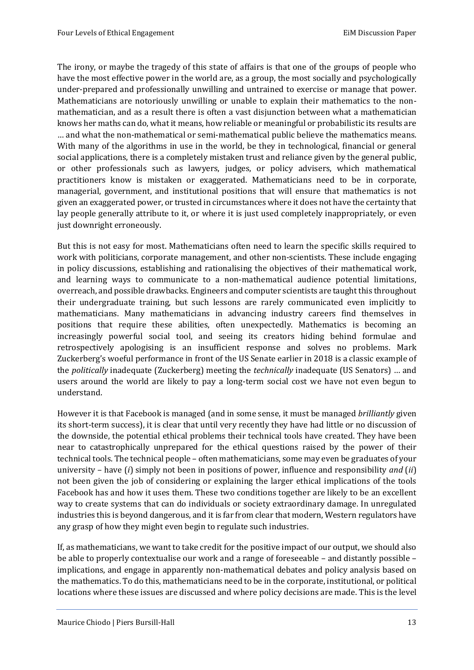The irony, or maybe the tragedy of this state of affairs is that one of the groups of people who have the most effective power in the world are, as a group, the most socially and psychologically under-prepared and professionally unwilling and untrained to exercise or manage that power. Mathematicians are notoriously unwilling or unable to explain their mathematics to the nonmathematician, and as a result there is often a vast disjunction between what a mathematician knows her maths can do, what it means, how reliable or meaningful or probabilistic its results are … and what the non-mathematical or semi-mathematical public believe the mathematics means. With many of the algorithms in use in the world, be they in technological, financial or general social applications, there is a completely mistaken trust and reliance given by the general public, or other professionals such as lawyers, judges, or policy advisers, which mathematical practitioners know is mistaken or exaggerated. Mathematicians need to be in corporate, managerial, government, and institutional positions that will ensure that mathematics is not given an exaggerated power, or trusted in circumstances where it does not have the certainty that lay people generally attribute to it, or where it is just used completely inappropriately, or even just downright erroneously.

But this is not easy for most. Mathematicians often need to learn the specific skills required to work with politicians, corporate management, and other non-scientists. These include engaging in policy discussions, establishing and rationalising the objectives of their mathematical work, and learning ways to communicate to a non-mathematical audience potential limitations, overreach, and possible drawbacks. Engineers and computer scientists are taught this throughout their undergraduate training, but such lessons are rarely communicated even implicitly to mathematicians. Many mathematicians in advancing industry careers find themselves in positions that require these abilities, often unexpectedly. Mathematics is becoming an increasingly powerful social tool, and seeing its creators hiding behind formulae and retrospectively apologising is an insufficient response and solves no problems. Mark Zuckerberg's woeful performance in front of the US Senate earlier in 2018 is a classic example of the *politically* inadequate (Zuckerberg) meeting the *technically* inadequate (US Senators) … and users around the world are likely to pay a long-term social cost we have not even begun to understand.

However it is that Facebook is managed (and in some sense, it must be managed *brilliantly* given its short-term success), it is clear that until very recently they have had little or no discussion of the downside, the potential ethical problems their technical tools have created. They have been near to catastrophically unprepared for the ethical questions raised by the power of their technical tools. The technical people – often mathematicians, some may even be graduates of your university – have (*i*) simply not been in positions of power, influence and responsibility *and* (*ii*) not been given the job of considering or explaining the larger ethical implications of the tools Facebook has and how it uses them. These two conditions together are likely to be an excellent way to create systems that can do individuals or society extraordinary damage. In unregulated industries this is beyond dangerous, and it is far from clear that modern, Western regulators have any grasp of how they might even begin to regulate such industries.

If, as mathematicians, we want to take credit for the positive impact of our output, we should also be able to properly contextualise our work and a range of foreseeable – and distantly possible – implications, and engage in apparently non-mathematical debates and policy analysis based on the mathematics. To do this, mathematicians need to be in the corporate, institutional, or political locations where these issues are discussed and where policy decisions are made. This is the level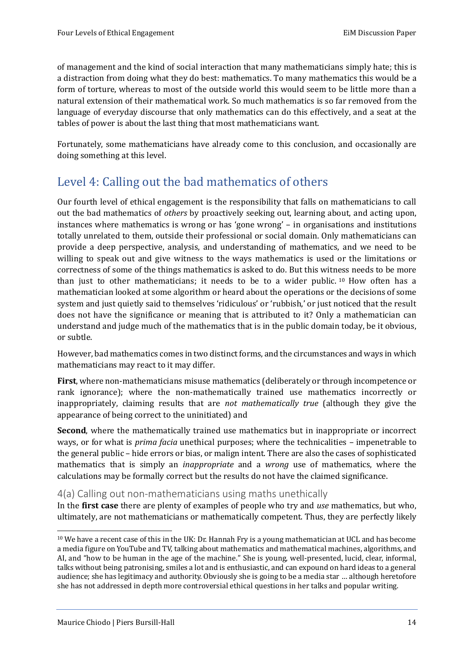of management and the kind of social interaction that many mathematicians simply hate; this is a distraction from doing what they do best: mathematics. To many mathematics this would be a form of torture, whereas to most of the outside world this would seem to be little more than a natural extension of their mathematical work. So much mathematics is so far removed from the language of everyday discourse that only mathematics can do this effectively, and a seat at the tables of power is about the last thing that most mathematicians want.

Fortunately, some mathematicians have already come to this conclusion, and occasionally are doing something at this level.

## <span id="page-16-0"></span>Level 4: Calling out the bad mathematics of others

Our fourth level of ethical engagement is the responsibility that falls on mathematicians to call out the bad mathematics of *others* by proactively seeking out, learning about, and acting upon, instances where mathematics is wrong or has 'gone wrong' – in organisations and institutions totally unrelated to them, outside their professional or social domain. Only mathematicians can provide a deep perspective, analysis, and understanding of mathematics, and we need to be willing to speak out and give witness to the ways mathematics is used or the limitations or correctness of some of the things mathematics is asked to do. But this witness needs to be more than just to other mathematicians; it needs to be to a wider public. <sup>10</sup> How often has a mathematician looked at some algorithm or heard about the operations or the decisions of some system and just quietly said to themselves 'ridiculous' or 'rubbish,' or just noticed that the result does not have the significance or meaning that is attributed to it? Only a mathematician can understand and judge much of the mathematics that is in the public domain today, be it obvious, or subtle.

However, bad mathematics comes in two distinct forms, and the circumstances and ways in which mathematicians may react to it may differ.

**First**, where non-mathematicians misuse mathematics (deliberately or through incompetence or rank ignorance); where the non-mathematically trained use mathematics incorrectly or inappropriately, claiming results that are *not mathematically true* (although they give the appearance of being correct to the uninitiated) and

**Second**, where the mathematically trained use mathematics but in inappropriate or incorrect ways, or for what is *prima facia* unethical purposes; where the technicalities – impenetrable to the general public – hide errors or bias, or malign intent. There are also the cases of sophisticated mathematics that is simply an *inappropriate* and a *wrong* use of mathematics, where the calculations may be formally correct but the results do not have the claimed significance.

#### <span id="page-16-1"></span>4(a) Calling out non-mathematicians using maths unethically

In the **first case** there are plenty of examples of people who try and *use* mathematics, but who, ultimately, are not mathematicians or mathematically competent. Thus, they are perfectly likely

<sup>10</sup> We have a recent case of this in the UK: Dr. Hannah Fry is a young mathematician at UCL and has become a media figure on YouTube and TV, talking about mathematics and mathematical machines, algorithms, and AI, and "how to be human in the age of the machine." She is young, well-presented, lucid, clear, informal, talks without being patronising, smiles a lot and is enthusiastic, and can expound on hard ideas to a general audience; she has legitimacy and authority. Obviously she is going to be a media star … although heretofore she has not addressed in depth more controversial ethical questions in her talks and popular writing.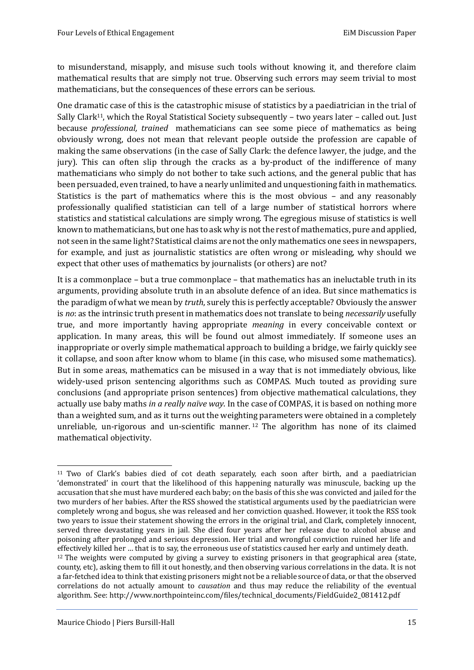to misunderstand, misapply, and misuse such tools without knowing it, and therefore claim mathematical results that are simply not true. Observing such errors may seem trivial to most mathematicians, but the consequences of these errors can be serious.

One dramatic case of this is the catastrophic misuse of statistics by a paediatrician in the trial of Sally Clark<sup>11</sup>, which the Royal Statistical Society subsequently - two years later - called out. Just because *professional, trained* mathematicians can see some piece of mathematics as being obviously wrong, does not mean that relevant people outside the profession are capable of making the same observations (in the case of Sally Clark: the defence lawyer, the judge, and the jury). This can often slip through the cracks as a by-product of the indifference of many mathematicians who simply do not bother to take such actions, and the general public that has been persuaded, even trained, to have a nearly unlimited and unquestioning faith in mathematics. Statistics is the part of mathematics where this is the most obvious – and any reasonably professionally qualified statistician can tell of a large number of statistical horrors where statistics and statistical calculations are simply wrong. The egregious misuse of statistics is well known to mathematicians, but one has to ask why is not the rest of mathematics, pure and applied, not seen in the same light? Statistical claims are not the only mathematics one sees in newspapers, for example, and just as journalistic statistics are often wrong or misleading, why should we expect that other uses of mathematics by journalists (or others) are not?

It is a commonplace – but a true commonplace – that mathematics has an ineluctable truth in its arguments, providing absolute truth in an absolute defence of an idea. But since mathematics is the paradigm of what we mean by *truth*, surely this is perfectly acceptable? Obviously the answer is *no*: as the intrinsic truth present in mathematics does not translate to being *necessarily* usefully true, and more importantly having appropriate *meaning* in every conceivable context or application. In many areas, this will be found out almost immediately. If someone uses an inappropriate or overly simple mathematical approach to building a bridge, we fairly quickly see it collapse, and soon after know whom to blame (in this case, who misused some mathematics). But in some areas, mathematics can be misused in a way that is not immediately obvious, like widely-used prison sentencing algorithms such as COMPAS. Much touted as providing sure conclusions (and appropriate prison sentences) from objective mathematical calculations, they actually use baby maths *in a really naïve way*. In the case of COMPAS, it is based on nothing more than a weighted sum, and as it turns out the weighting parameters were obtained in a completely unreliable, un-rigorous and un-scientific manner. <sup>12</sup> The algorithm has none of its claimed mathematical objectivity.

<sup>11</sup> Two of Clark's babies died of cot death separately, each soon after birth, and a paediatrician 'demonstrated' in court that the likelihood of this happening naturally was minuscule, backing up the accusation that she must have murdered each baby; on the basis of this she was convicted and jailed for the two murders of her babies. After the RSS showed the statistical arguments used by the paediatrician were completely wrong and bogus, she was released and her conviction quashed. However, it took the RSS took two years to issue their statement showing the errors in the original trial, and Clark, completely innocent, served three devastating years in jail. She died four years after her release due to alcohol abuse and poisoning after prolonged and serious depression. Her trial and wrongful conviction ruined her life and effectively killed her … that is to say, the erroneous use of statistics caused her early and untimely death.  $12$  The weights were computed by giving a survey to existing prisoners in that geographical area (state, county, etc), asking them to fill it out honestly, and then observing various correlations in the data. It is not a far-fetched idea to think that existing prisoners might not be a reliable source of data, or that the observed correlations do not actually amount to *causation* and thus may reduce the reliability of the eventual algorithm. See: http://www.northpointeinc.com/files/technical\_documents/FieldGuide2\_081412.pdf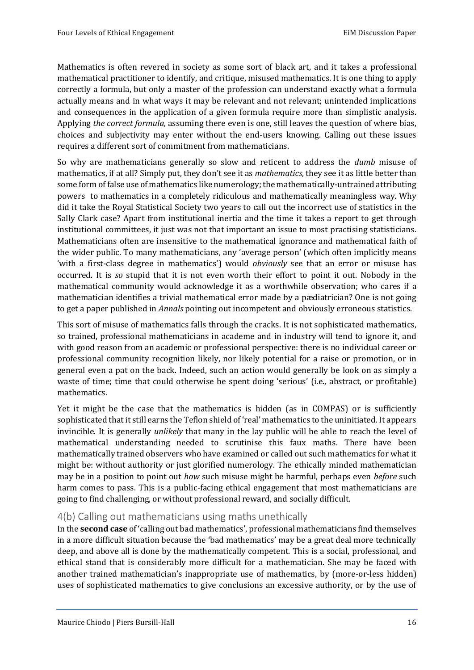Mathematics is often revered in society as some sort of black art, and it takes a professional mathematical practitioner to identify, and critique, misused mathematics. It is one thing to apply correctly a formula, but only a master of the profession can understand exactly what a formula actually means and in what ways it may be relevant and not relevant; unintended implications and consequences in the application of a given formula require more than simplistic analysis. Applying *the correct formula,* assuming there even is one, still leaves the question of where bias, choices and subjectivity may enter without the end-users knowing. Calling out these issues requires a different sort of commitment from mathematicians.

So why are mathematicians generally so slow and reticent to address the *dumb* misuse of mathematics, if at all? Simply put, they don't see it as *mathematics*, they see it as little better than some form of false use of mathematics like numerology; the mathematically-untrained attributing powers to mathematics in a completely ridiculous and mathematically meaningless way. Why did it take the Royal Statistical Society two years to call out the incorrect use of statistics in the Sally Clark case? Apart from institutional inertia and the time it takes a report to get through institutional committees, it just was not that important an issue to most practising statisticians. Mathematicians often are insensitive to the mathematical ignorance and mathematical faith of the wider public. To many mathematicians, any 'average person' (which often implicitly means 'with a first-class degree in mathematics') would *obviously* see that an error or misuse has occurred. It is *so* stupid that it is not even worth their effort to point it out. Nobody in the mathematical community would acknowledge it as a worthwhile observation; who cares if a mathematician identifies a trivial mathematical error made by a pædiatrician? One is not going to get a paper published in *Annals* pointing out incompetent and obviously erroneous statistics.

This sort of misuse of mathematics falls through the cracks. It is not sophisticated mathematics, so trained, professional mathematicians in academe and in industry will tend to ignore it, and with good reason from an academic or professional perspective: there is no individual career or professional community recognition likely, nor likely potential for a raise or promotion, or in general even a pat on the back. Indeed, such an action would generally be look on as simply a waste of time; time that could otherwise be spent doing 'serious' (i.e., abstract, or profitable) mathematics.

Yet it might be the case that the mathematics is hidden (as in COMPAS) or is sufficiently sophisticated that it still earns the Teflon shield of 'real' mathematics to the uninitiated. It appears invincible. It is generally *unlikely* that many in the lay public will be able to reach the level of mathematical understanding needed to scrutinise this faux maths. There have been mathematically trained observers who have examined or called out such mathematics for what it might be: without authority or just glorified numerology. The ethically minded mathematician may be in a position to point out *how* such misuse might be harmful, perhaps even *before* such harm comes to pass. This is a public-facing ethical engagement that most mathematicians are going to find challenging, or without professional reward, and socially difficult.

#### <span id="page-18-0"></span>4(b) Calling out mathematicians using maths unethically

In the **second case** of 'calling out bad mathematics', professional mathematicians find themselves in a more difficult situation because the 'bad mathematics' may be a great deal more technically deep, and above all is done by the mathematically competent. This is a social, professional, and ethical stand that is considerably more difficult for a mathematician. She may be faced with another trained mathematician's inappropriate use of mathematics, by (more-or-less hidden) uses of sophisticated mathematics to give conclusions an excessive authority, or by the use of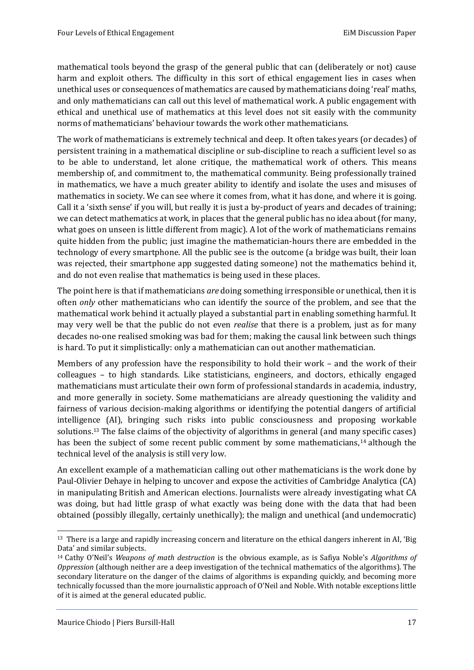mathematical tools beyond the grasp of the general public that can (deliberately or not) cause harm and exploit others. The difficulty in this sort of ethical engagement lies in cases when unethical uses or consequences of mathematics are caused by mathematicians doing 'real' maths, and only mathematicians can call out this level of mathematical work. A public engagement with ethical and unethical use of mathematics at this level does not sit easily with the community norms of mathematicians' behaviour towards the work other mathematicians.

The work of mathematicians is extremely technical and deep. It often takes years (or decades) of persistent training in a mathematical discipline or sub-discipline to reach a sufficient level so as to be able to understand, let alone critique, the mathematical work of others. This means membership of, and commitment to, the mathematical community. Being professionally trained in mathematics, we have a much greater ability to identify and isolate the uses and misuses of mathematics in society. We can see where it comes from, what it has done, and where it is going. Call it a 'sixth sense' if you will, but really it is just a by-product of years and decades of training; we can detect mathematics at work, in places that the general public has no idea about (for many, what goes on unseen is little different from magic). A lot of the work of mathematicians remains quite hidden from the public; just imagine the mathematician-hours there are embedded in the technology of every smartphone. All the public see is the outcome (a bridge was built, their loan was rejected, their smartphone app suggested dating someone) not the mathematics behind it, and do not even realise that mathematics is being used in these places.

The point here is that if mathematicians *are* doing something irresponsible or unethical, then it is often *only* other mathematicians who can identify the source of the problem, and see that the mathematical work behind it actually played a substantial part in enabling something harmful. It may very well be that the public do not even *realise* that there is a problem, just as for many decades no-one realised smoking was bad for them; making the causal link between such things is hard. To put it simplistically: only a mathematician can out another mathematician.

Members of any profession have the responsibility to hold their work – and the work of their colleagues – to high standards. Like statisticians, engineers, and doctors, ethically engaged mathematicians must articulate their own form of professional standards in academia, industry, and more generally in society. Some mathematicians are already questioning the validity and fairness of various decision-making algorithms or identifying the potential dangers of artificial intelligence (AI), bringing such risks into public consciousness and proposing workable solutions.<sup>13</sup> The false claims of the objectivity of algorithms in general (and many specific cases) has been the subject of some recent public comment by some mathematicians,<sup>14</sup> although the technical level of the analysis is still very low.

An excellent example of a mathematician calling out other mathematicians is the work done by Paul-Olivier Dehaye in helping to uncover and expose the activities of Cambridge Analytica (CA) in manipulating British and American elections. Journalists were already investigating what CA was doing, but had little grasp of what exactly was being done with the data that had been obtained (possibly illegally, certainly unethically); the malign and unethical (and undemocratic)

<sup>13</sup> There is a large and rapidly increasing concern and literature on the ethical dangers inherent in AI, 'Big Data' and similar subjects.

<sup>14</sup> Cathy O'Neil's *Weapons of math destruction* is the obvious example, as is Safiya Noble's *Algorithms of Oppression* (although neither are a deep investigation of the technical mathematics of the algorithms). The secondary literature on the danger of the claims of algorithms is expanding quickly, and becoming more technically focussed than the more journalistic approach of O'Neil and Noble. With notable exceptions little of it is aimed at the general educated public.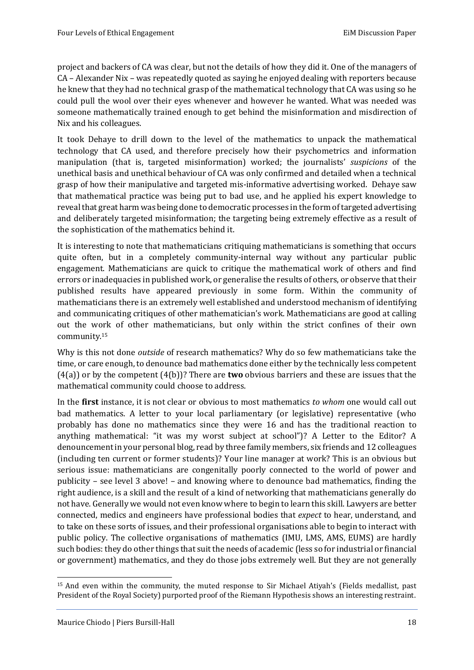project and backers of CA was clear, but not the details of how they did it. One of the managers of CA – Alexander Nix – was repeatedly quoted as saying he enjoyed dealing with reporters because he knew that they had no technical grasp of the mathematical technology that CA was using so he could pull the wool over their eyes whenever and however he wanted. What was needed was someone mathematically trained enough to get behind the misinformation and misdirection of Nix and his colleagues.

It took Dehaye to drill down to the level of the mathematics to unpack the mathematical technology that CA used, and therefore precisely how their psychometrics and information manipulation (that is, targeted misinformation) worked; the journalists' *suspicions* of the unethical basis and unethical behaviour of CA was only confirmed and detailed when a technical grasp of how their manipulative and targeted mis-informative advertising worked. Dehaye saw that mathematical practice was being put to bad use, and he applied his expert knowledge to reveal that great harm was being done to democratic processes in the form of targeted advertising and deliberately targeted misinformation; the targeting being extremely effective as a result of the sophistication of the mathematics behind it.

It is interesting to note that mathematicians critiquing mathematicians is something that occurs quite often, but in a completely community-internal way without any particular public engagement. Mathematicians are quick to critique the mathematical work of others and find errors or inadequacies in published work, or generalise the results of others, or observe that their published results have appeared previously in some form. Within the community of mathematicians there is an extremely well established and understood mechanism of identifying and communicating critiques of other mathematician's work. Mathematicians are good at calling out the work of other mathematicians, but only within the strict confines of their own community.<sup>15</sup>

Why is this not done *outside* of research mathematics? Why do so few mathematicians take the time, or care enough, to denounce bad mathematics done either by the technically less competent (4(a)) or by the competent (4(b))? There are **two** obvious barriers and these are issues that the mathematical community could choose to address.

In the **first** instance, it is not clear or obvious to most mathematics *to whom* one would call out bad mathematics. A letter to your local parliamentary (or legislative) representative (who probably has done no mathematics since they were 16 and has the traditional reaction to anything mathematical: "it was my worst subject at school")? A Letter to the Editor? A denouncement in your personal blog, read by three family members, six friends and 12 colleagues (including ten current or former students)? Your line manager at work? This is an obvious but serious issue: mathematicians are congenitally poorly connected to the world of power and publicity – see level 3 above! – and knowing where to denounce bad mathematics, finding the right audience, is a skill and the result of a kind of networking that mathematicians generally do not have. Generally we would not even know where to begin to learn this skill. Lawyers are better connected, medics and engineers have professional bodies that *expect* to hear, understand, and to take on these sorts of issues, and their professional organisations able to begin to interact with public policy. The collective organisations of mathematics (IMU, LMS, AMS, EUMS) are hardly such bodies: they do other things that suit the needs of academic (less so for industrial or financial or government) mathematics, and they do those jobs extremely well. But they are not generally

<sup>15</sup> And even within the community, the muted response to Sir Michael Atiyah's (Fields medallist, past President of the Royal Society) purported proof of the Riemann Hypothesis shows an interesting restraint.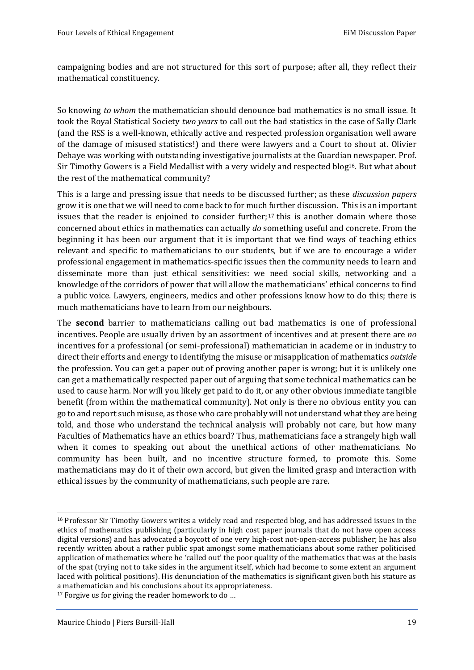campaigning bodies and are not structured for this sort of purpose; after all, they reflect their mathematical constituency.

So knowing *to whom* the mathematician should denounce bad mathematics is no small issue. It took the Royal Statistical Society *two years* to call out the bad statistics in the case of Sally Clark (and the RSS is a well-known, ethically active and respected profession organisation well aware of the damage of misused statistics!) and there were lawyers and a Court to shout at. Olivier Dehaye was working with outstanding investigative journalists at the Guardian newspaper. Prof. Sir Timothy Gowers is a Field Medallist with a very widely and respected blog<sup>16</sup>. But what about the rest of the mathematical community?

This is a large and pressing issue that needs to be discussed further; as these *discussion papers* grow it is one that we will need to come back to for much further discussion. This is an important issues that the reader is enjoined to consider further; <sup>17</sup> this is another domain where those concerned about ethics in mathematics can actually *do* something useful and concrete. From the beginning it has been our argument that it is important that we find ways of teaching ethics relevant and specific to mathematicians to our students, but if we are to encourage a wider professional engagement in mathematics-specific issues then the community needs to learn and disseminate more than just ethical sensitivities: we need social skills, networking and a knowledge of the corridors of power that will allow the mathematicians' ethical concerns to find a public voice. Lawyers, engineers, medics and other professions know how to do this; there is much mathematicians have to learn from our neighbours.

The **second** barrier to mathematicians calling out bad mathematics is one of professional incentives. People are usually driven by an assortment of incentives and at present there are *no* incentives for a professional (or semi-professional) mathematician in academe or in industry to direct their efforts and energy to identifying the misuse or misapplication of mathematics *outside* the profession. You can get a paper out of proving another paper is wrong; but it is unlikely one can get a mathematically respected paper out of arguing that some technical mathematics can be used to cause harm. Nor will you likely get paid to do it, or any other obvious immediate tangible benefit (from within the mathematical community). Not only is there no obvious entity you can go to and report such misuse, as those who care probably will not understand what they are being told, and those who understand the technical analysis will probably not care, but how many Faculties of Mathematics have an ethics board? Thus, mathematicians face a strangely high wall when it comes to speaking out about the unethical actions of other mathematicians. No community has been built, and no incentive structure formed, to promote this. Some mathematicians may do it of their own accord, but given the limited grasp and interaction with ethical issues by the community of mathematicians, such people are rare.

<sup>16</sup> Professor Sir Timothy Gowers writes a widely read and respected blog, and has addressed issues in the ethics of mathematics publishing (particularly in high cost paper journals that do not have open access digital versions) and has advocated a boycott of one very high-cost not-open-access publisher; he has also recently written about a rather public spat amongst some mathematicians about some rather politicised application of mathematics where he 'called out' the poor quality of the mathematics that was at the basis of the spat (trying not to take sides in the argument itself, which had become to some extent an argument laced with political positions). His denunciation of the mathematics is significant given both his stature as a mathematician and his conclusions about its appropriateness.

<sup>&</sup>lt;sup>17</sup> Forgive us for giving the reader homework to do ...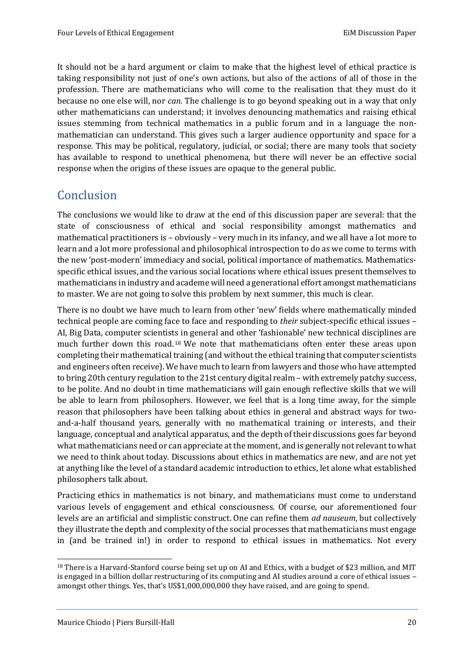It should not be a hard argument or claim to make that the highest level of ethical practice is taking responsibility not just of one's own actions, but also of the actions of all of those in the profession. There are mathematicians who will come to the realisation that they must do it because no one else will, nor *can*. The challenge is to go beyond speaking out in a way that only other mathematicians can understand; it involves denouncing mathematics and raising ethical issues stemming from technical mathematics in a public forum and in a language the nonmathematician can understand. This gives such a larger audience opportunity and space for a response. This may be political, regulatory, judicial, or social; there are many tools that society has available to respond to unethical phenomena, but there will never be an effective social response when the origins of these issues are opaque to the general public.

## <span id="page-22-0"></span>**Conclusion**

The conclusions we would like to draw at the end of this discussion paper are several: that the state of consciousness of ethical and social responsibility amongst mathematics and mathematical practitioners is – obviously – very much in its infancy, and we all have a lot more to learn and a lot more professional and philosophical introspection to do as we come to terms with the new 'post-modern' immediacy and social, political importance of mathematics. Mathematicsspecific ethical issues, and the various social locations where ethical issues present themselves to mathematicians in industry and academe will need a generational effort amongst mathematicians to master. We are not going to solve this problem by next summer, this much is clear.

There is no doubt we have much to learn from other 'new' fields where mathematically minded technical people are coming face to face and responding to *their* subject-specific ethical issues – AI, Big Data, computer scientists in general and other 'fashionable' new technical disciplines are much further down this road. <sup>18</sup> We note that mathematicians often enter these areas upon completing their mathematical training (and without the ethical training that computer scientists and engineers often receive). We have much to learn from lawyers and those who have attempted to bring 20th century regulation to the 21st century digital realm – with extremely patchy success, to be polite. And no doubt in time mathematicians will gain enough reflective skills that we will be able to learn from philosophers. However, we feel that is a long time away, for the simple reason that philosophers have been talking about ethics in general and abstract ways for twoand-a-half thousand years, generally with no mathematical training or interests, and their language, conceptual and analytical apparatus, and the depth of their discussions goes far beyond what mathematicians need or can appreciate at the moment, and is generally not relevant to what we need to think about today. Discussions about ethics in mathematics are new, and are not yet at anything like the level of a standard academic introduction to ethics, let alone what established philosophers talk about.

Practicing ethics in mathematics is not binary, and mathematicians must come to understand various levels of engagement and ethical consciousness. Of course, our aforementioned four levels are an artificial and simplistic construct. One can refine them *ad nauseum*, but collectively they illustrate the depth and complexity of the social processes that mathematicians must engage in (and be trained in!) in order to respond to ethical issues in mathematics. Not every

<sup>&</sup>lt;sup>18</sup> There is a Harvard-Stanford course being set up on AI and Ethics, with a budget of \$23 million, and MIT is engaged in a billion dollar restructuring of its computing and AI studies around a core of ethical issues – amongst other things. Yes, that's US\$1,000,000,000 they have raised, and are going to spend.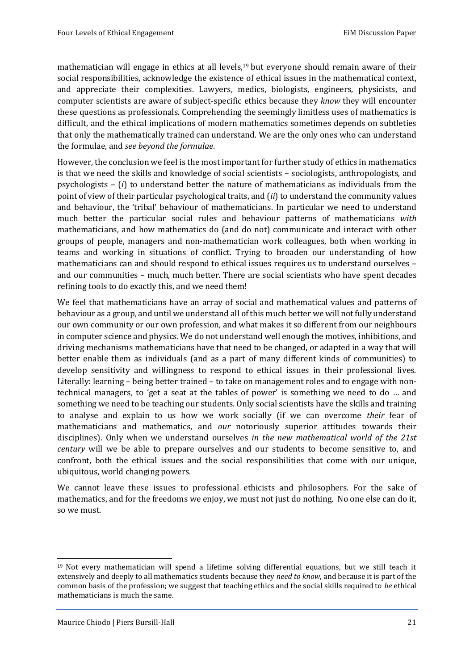mathematician will engage in ethics at all levels,<sup>19</sup> but everyone should remain aware of their social responsibilities, acknowledge the existence of ethical issues in the mathematical context, and appreciate their complexities. Lawyers, medics, biologists, engineers, physicists, and computer scientists are aware of subject-specific ethics because they *know* they will encounter these questions as professionals. Comprehending the seemingly limitless uses of mathematics is difficult, and the ethical implications of modern mathematics sometimes depends on subtleties that only the mathematically trained can understand. We are the only ones who can understand the formulae, and *see beyond the formulae*.

However, the conclusion we feel is the most important for further study of ethics in mathematics is that we need the skills and knowledge of social scientists – sociologists, anthropologists, and psychologists – (*i*) to understand better the nature of mathematicians as individuals from the point of view of their particular psychological traits, and (*ii*) to understand the community values and behaviour, the 'tribal' behaviour of mathematicians. In particular we need to understand much better the particular social rules and behaviour patterns of mathematicians *with* mathematicians, and how mathematics do (and do not) communicate and interact with other groups of people, managers and non-mathematician work colleagues, both when working in teams and working in situations of conflict. Trying to broaden our understanding of how mathematicians can and should respond to ethical issues requires us to understand ourselves – and our communities – much, much better. There are social scientists who have spent decades refining tools to do exactly this, and we need them!

We feel that mathematicians have an array of social and mathematical values and patterns of behaviour as a group, and until we understand all of this much better we will not fully understand our own community or our own profession, and what makes it so different from our neighbours in computer science and physics. We do not understand well enough the motives, inhibitions, and driving mechanisms mathematicians have that need to be changed, or adapted in a way that will better enable them as individuals (and as a part of many different kinds of communities) to develop sensitivity and willingness to respond to ethical issues in their professional lives. Literally: learning – being better trained – to take on management roles and to engage with nontechnical managers, to 'get a seat at the tables of power' is something we need to do … and something we need to be teaching our students. Only social scientists have the skills and training to analyse and explain to us how we work socially (if we can overcome *their* fear of mathematicians and mathematics, and *our* notoriously superior attitudes towards their disciplines). Only when we understand ourselves *in the new mathematical world of the 21st century* will we be able to prepare ourselves and our students to become sensitive to, and confront, both the ethical issues and the social responsibilities that come with our unique, ubiquitous, world changing powers.

We cannot leave these issues to professional ethicists and philosophers. For the sake of mathematics, and for the freedoms we enjoy, we must not just do nothing. No one else can do it, so we must.

<sup>19</sup> Not every mathematician will spend a lifetime solving differential equations, but we still teach it extensively and deeply to all mathematics students because they *need to know*, and because it is part of the common basis of the profession; we suggest that teaching ethics and the social skills required to *be* ethical mathematicians is much the same.